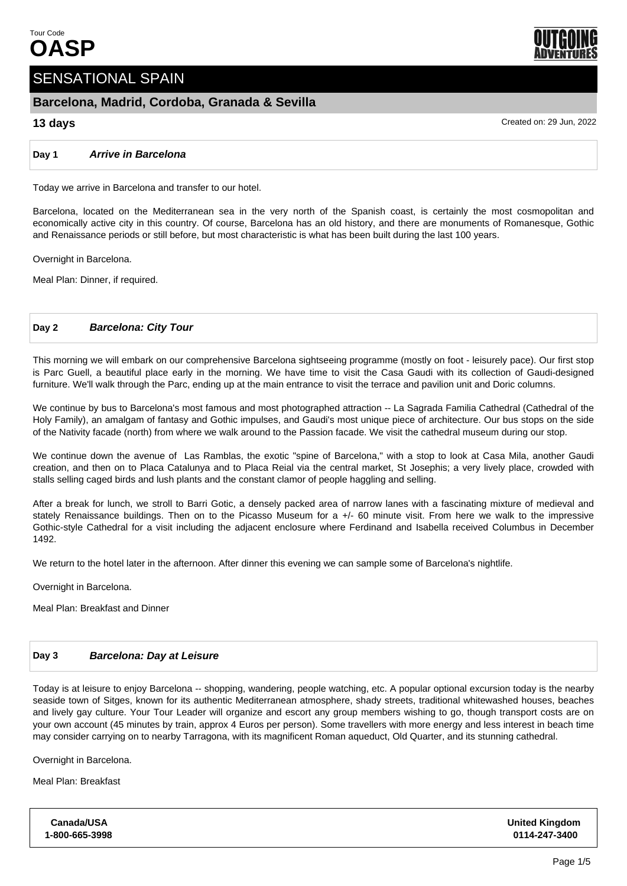

# SENSATIONAL SPAIN

# **Barcelona, Madrid, Cordoba, Granada & Sevilla**

# **13 days** Created on: 29 Jun, 2022

**Day 1 Arrive in Barcelona**

Today we arrive in Barcelona and transfer to our hotel.

Barcelona, located on the Mediterranean sea in the very north of the Spanish coast, is certainly the most cosmopolitan and economically active city in this country. Of course, Barcelona has an old history, and there are monuments of Romanesque, Gothic and Renaissance periods or still before, but most characteristic is what has been built during the last 100 years.

Overnight in Barcelona.

Meal Plan: Dinner, if required.

# **Day 2 Barcelona: City Tour**

This morning we will embark on our comprehensive Barcelona sightseeing programme (mostly on foot - leisurely pace). Our first stop is Parc Guell, a beautiful place early in the morning. We have time to visit the Casa Gaudi with its collection of Gaudi-designed furniture. We'll walk through the Parc, ending up at the main entrance to visit the terrace and pavilion unit and Doric columns.

We continue by bus to Barcelona's most famous and most photographed attraction -- La Sagrada Familia Cathedral (Cathedral of the Holy Family), an amalgam of fantasy and Gothic impulses, and Gaudi's most unique piece of architecture. Our bus stops on the side of the Nativity facade (north) from where we walk around to the Passion facade. We visit the cathedral museum during our stop.

We continue down the avenue of Las Ramblas, the exotic "spine of Barcelona," with a stop to look at Casa Mila, another Gaudi creation, and then on to Placa Catalunya and to Placa Reial via the central market, St Josephis; a very lively place, crowded with stalls selling caged birds and lush plants and the constant clamor of people haggling and selling.

After a break for lunch, we stroll to Barri Gotic, a densely packed area of narrow lanes with a fascinating mixture of medieval and stately Renaissance buildings. Then on to the Picasso Museum for a +/- 60 minute visit. From here we walk to the impressive Gothic-style Cathedral for a visit including the adjacent enclosure where Ferdinand and Isabella received Columbus in December 1492.

We return to the hotel later in the afternoon. After dinner this evening we can sample some of Barcelona's nightlife.

Overnight in Barcelona.

Meal Plan: Breakfast and Dinner

# **Day 3 Barcelona: Day at Leisure**

Today is at leisure to enjoy Barcelona -- shopping, wandering, people watching, etc. A popular optional excursion today is the nearby seaside town of Sitges, known for its authentic Mediterranean atmosphere, shady streets, traditional whitewashed houses, beaches and lively gay culture. Your Tour Leader will organize and escort any group members wishing to go, though transport costs are on your own account (45 minutes by train, approx 4 Euros per person). Some travellers with more energy and less interest in beach time may consider carrying on to nearby Tarragona, with its magnificent Roman aqueduct, Old Quarter, and its stunning cathedral.

Overnight in Barcelona.

Meal Plan: Breakfast

| <b>Canada/USA</b> | <b>United Kingdom</b> |
|-------------------|-----------------------|
| 1-800-665-3998    | 0114-247-3400         |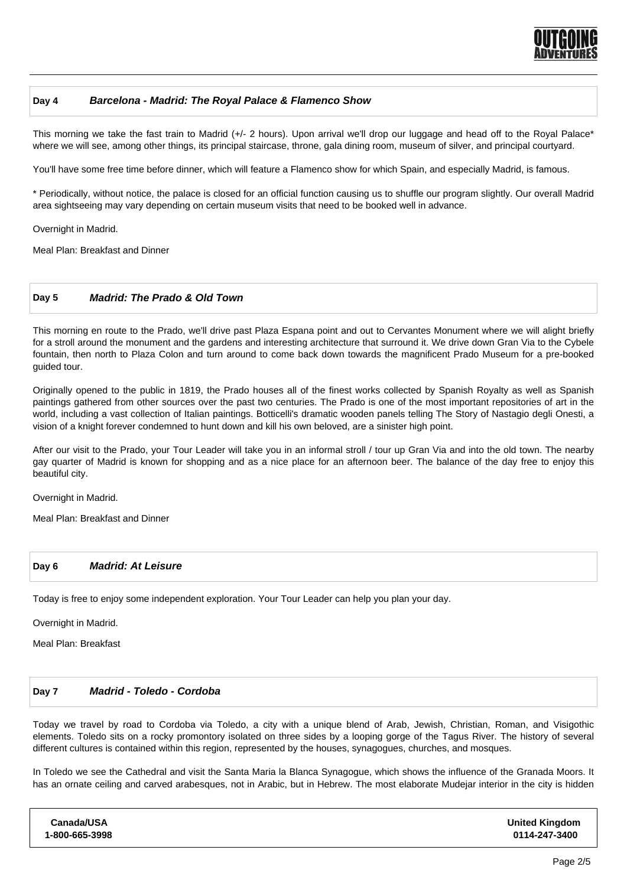

### **Day 4 Barcelona - Madrid: The Royal Palace & Flamenco Show**

This morning we take the fast train to Madrid (+/- 2 hours). Upon arrival we'll drop our luggage and head off to the Royal Palace\* where we will see, among other things, its principal staircase, throne, gala dining room, museum of silver, and principal courtyard.

You'll have some free time before dinner, which will feature a Flamenco show for which Spain, and especially Madrid, is famous.

\* Periodically, without notice, the palace is closed for an official function causing us to shuffle our program slightly. Our overall Madrid area sightseeing may vary depending on certain museum visits that need to be booked well in advance.

Overnight in Madrid.

Meal Plan: Breakfast and Dinner

# **Day 5 Madrid: The Prado & Old Town**

This morning en route to the Prado, we'll drive past Plaza Espana point and out to Cervantes Monument where we will alight briefly for a stroll around the monument and the gardens and interesting architecture that surround it. We drive down Gran Via to the Cybele fountain, then north to Plaza Colon and turn around to come back down towards the magnificent Prado Museum for a pre-booked guided tour.

Originally opened to the public in 1819, the Prado houses all of the finest works collected by Spanish Royalty as well as Spanish paintings gathered from other sources over the past two centuries. The Prado is one of the most important repositories of art in the world, including a vast collection of Italian paintings. Botticelli's dramatic wooden panels telling The Story of Nastagio degli Onesti, a vision of a knight forever condemned to hunt down and kill his own beloved, are a sinister high point.

After our visit to the Prado, your Tour Leader will take you in an informal stroll / tour up Gran Via and into the old town. The nearby gay quarter of Madrid is known for shopping and as a nice place for an afternoon beer. The balance of the day free to enjoy this beautiful city.

Overnight in Madrid.

Meal Plan: Breakfast and Dinner

#### **Day 6 Madrid: At Leisure**

Today is free to enjoy some independent exploration. Your Tour Leader can help you plan your day.

Overnight in Madrid.

Meal Plan: Breakfast

#### **Day 7 Madrid - Toledo - Cordoba**

Today we travel by road to Cordoba via Toledo, a city with a unique blend of Arab, Jewish, Christian, Roman, and Visigothic elements. Toledo sits on a rocky promontory isolated on three sides by a looping gorge of the Tagus River. The history of several different cultures is contained within this region, represented by the houses, synagogues, churches, and mosques.

In Toledo we see the Cathedral and visit the Santa Maria la Blanca Synagogue, which shows the influence of the Granada Moors. It has an ornate ceiling and carved arabesques, not in Arabic, but in Hebrew. The most elaborate Mudejar interior in the city is hidden

| <b>United Kingdom</b><br>0114-247-3400 |
|----------------------------------------|
|                                        |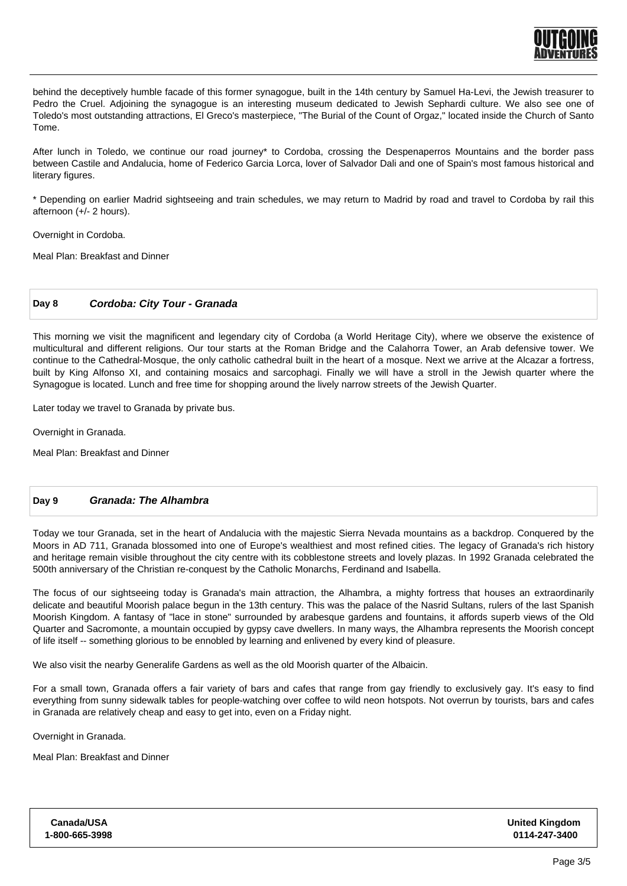

behind the deceptively humble facade of this former synagogue, built in the 14th century by Samuel Ha-Levi, the Jewish treasurer to Pedro the Cruel. Adjoining the synagogue is an interesting museum dedicated to Jewish Sephardi culture. We also see one of Toledo's most outstanding attractions, El Greco's masterpiece, "The Burial of the Count of Orgaz," located inside the Church of Santo Tome.

After lunch in Toledo, we continue our road journey\* to Cordoba, crossing the Despenaperros Mountains and the border pass between Castile and Andalucia, home of Federico Garcia Lorca, lover of Salvador Dali and one of Spain's most famous historical and literary figures.

\* Depending on earlier Madrid sightseeing and train schedules, we may return to Madrid by road and travel to Cordoba by rail this afternoon (+/- 2 hours).

Overnight in Cordoba.

Meal Plan: Breakfast and Dinner

# **Day 8 Cordoba: City Tour - Granada**

This morning we visit the magnificent and legendary city of Cordoba (a World Heritage City), where we observe the existence of multicultural and different religions. Our tour starts at the Roman Bridge and the Calahorra Tower, an Arab defensive tower. We continue to the Cathedral-Mosque, the only catholic cathedral built in the heart of a mosque. Next we arrive at the Alcazar a fortress, built by King Alfonso XI, and containing mosaics and sarcophagi. Finally we will have a stroll in the Jewish quarter where the Synagogue is located. Lunch and free time for shopping around the lively narrow streets of the Jewish Quarter.

Later today we travel to Granada by private bus.

Overnight in Granada.

Meal Plan: Breakfast and Dinner

# **Day 9 Granada: The Alhambra**

Today we tour Granada, set in the heart of Andalucia with the majestic Sierra Nevada mountains as a backdrop. Conquered by the Moors in AD 711, Granada blossomed into one of Europe's wealthiest and most refined cities. The legacy of Granada's rich history and heritage remain visible throughout the city centre with its cobblestone streets and lovely plazas. In 1992 Granada celebrated the 500th anniversary of the Christian re-conquest by the Catholic Monarchs, Ferdinand and Isabella.

The focus of our sightseeing today is Granada's main attraction, the Alhambra, a mighty fortress that houses an extraordinarily delicate and beautiful Moorish palace begun in the 13th century. This was the palace of the Nasrid Sultans, rulers of the last Spanish Moorish Kingdom. A fantasy of "lace in stone" surrounded by arabesque gardens and fountains, it affords superb views of the Old Quarter and Sacromonte, a mountain occupied by gypsy cave dwellers. In many ways, the Alhambra represents the Moorish concept of life itself -- something glorious to be ennobled by learning and enlivened by every kind of pleasure.

We also visit the nearby Generalife Gardens as well as the old Moorish quarter of the Albaicin.

For a small town, Granada offers a fair variety of bars and cafes that range from gay friendly to exclusively gay. It's easy to find everything from sunny sidewalk tables for people-watching over coffee to wild neon hotspots. Not overrun by tourists, bars and cafes in Granada are relatively cheap and easy to get into, even on a Friday night.

Overnight in Granada.

Meal Plan: Breakfast and Dinner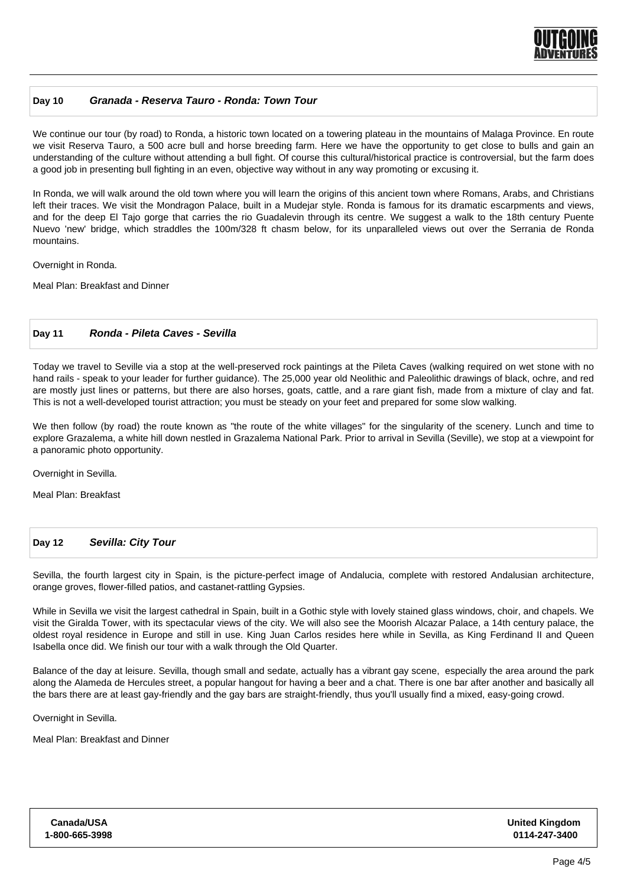

# **Day 10 Granada - Reserva Tauro - Ronda: Town Tour**

We continue our tour (by road) to Ronda, a historic town located on a towering plateau in the mountains of Malaga Province. En route we visit Reserva Tauro, a 500 acre bull and horse breeding farm. Here we have the opportunity to get close to bulls and gain an understanding of the culture without attending a bull fight. Of course this cultural/historical practice is controversial, but the farm does a good job in presenting bull fighting in an even, objective way without in any way promoting or excusing it.

In Ronda, we will walk around the old town where you will learn the origins of this ancient town where Romans, Arabs, and Christians left their traces. We visit the Mondragon Palace, built in a Mudejar style. Ronda is famous for its dramatic escarpments and views, and for the deep El Tajo gorge that carries the rio Guadalevin through its centre. We suggest a walk to the 18th century Puente Nuevo 'new' bridge, which straddles the 100m/328 ft chasm below, for its unparalleled views out over the Serrania de Ronda mountains.

Overnight in Ronda.

Meal Plan: Breakfast and Dinner

#### **Day 11 Ronda - Pileta Caves - Sevilla**

Today we travel to Seville via a stop at the well-preserved rock paintings at the Pileta Caves (walking required on wet stone with no hand rails - speak to your leader for further guidance). The 25,000 year old Neolithic and Paleolithic drawings of black, ochre, and red are mostly just lines or patterns, but there are also horses, goats, cattle, and a rare giant fish, made from a mixture of clay and fat. This is not a well-developed tourist attraction; you must be steady on your feet and prepared for some slow walking.

We then follow (by road) the route known as "the route of the white villages" for the singularity of the scenery. Lunch and time to explore Grazalema, a white hill down nestled in Grazalema National Park. Prior to arrival in Sevilla (Seville), we stop at a viewpoint for a panoramic photo opportunity.

Overnight in Sevilla.

Meal Plan: Breakfast

#### **Day 12 Sevilla: City Tour**

Sevilla, the fourth largest city in Spain, is the picture-perfect image of Andalucia, complete with restored Andalusian architecture, orange groves, flower-filled patios, and castanet-rattling Gypsies.

While in Sevilla we visit the largest cathedral in Spain, built in a Gothic style with lovely stained glass windows, choir, and chapels. We visit the Giralda Tower, with its spectacular views of the city. We will also see the Moorish Alcazar Palace, a 14th century palace, the oldest royal residence in Europe and still in use. King Juan Carlos resides here while in Sevilla, as King Ferdinand II and Queen Isabella once did. We finish our tour with a walk through the Old Quarter.

Balance of the day at leisure. Sevilla, though small and sedate, actually has a vibrant gay scene, especially the area around the park along the Alameda de Hercules street, a popular hangout for having a beer and a chat. There is one bar after another and basically all the bars there are at least gay-friendly and the gay bars are straight-friendly, thus you'll usually find a mixed, easy-going crowd.

Overnight in Sevilla.

Meal Plan: Breakfast and Dinner